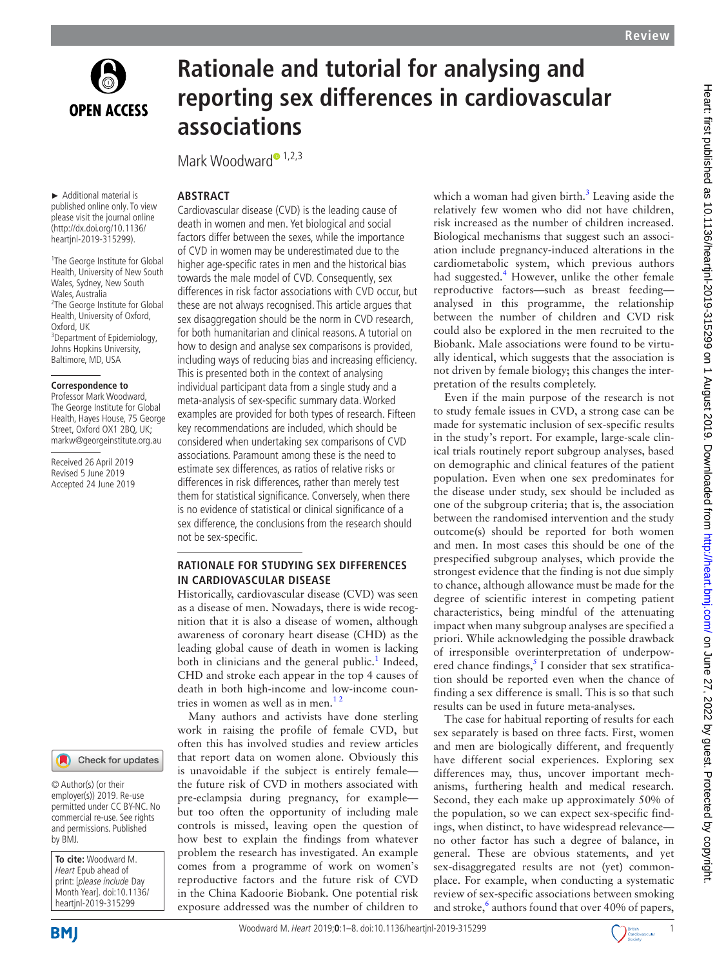

# **Rationale and tutorial for analysing and reporting sex differences in cardiovascular associations**

Mark Woo[d](http://orcid.org/0000-0001-9800-5296)ward<sup>1,2,3</sup>

not be sex-specific.

death in women and men. Yet biological and social factors differ between the sexes, while the importance of CVD in women may be underestimated due to the higher age-specific rates in men and the historical bias towards the male model of CVD. Consequently, sex differences in risk factor associations with CVD occur, but these are not always recognised. This article argues that sex disaggregation should be the norm in CVD research, for both humanitarian and clinical reasons. A tutorial on how to design and analyse sex comparisons is provided, including ways of reducing bias and increasing efficiency. This is presented both in the context of analysing individual participant data from a single study and a meta-analysis of sex-specific summary data. Worked examples are provided for both types of research. Fifteen key recommendations are included, which should be considered when undertaking sex comparisons of CVD associations. Paramount among these is the need to estimate sex differences, as ratios of relative risks or differences in risk differences, rather than merely test them for statistical significance. Conversely, when there is no evidence of statistical or clinical significance of a sex difference, the conclusions from the research should

**Rationale for studying sex differences** 

Historically, cardiovascular disease (CVD) was seen as a disease of men. Nowadays, there is wide recognition that it is also a disease of women, although awareness of coronary heart disease (CHD) as the leading global cause of death in women is lacking both in clinicians and the general public.<sup>[1](#page-7-0)</sup> Indeed, CHD and stroke each appear in the top 4 causes of death in both high-income and low-income coun-

Many authors and activists have done sterling work in raising the profile of female CVD, but often this has involved studies and review articles that report data on women alone. Obviously this is unavoidable if the subject is entirely female the future risk of CVD in mothers associated with pre-eclampsia during pregnancy, for example but too often the opportunity of including male controls is missed, leaving open the question of how best to explain the findings from whatever problem the research has investigated. An example comes from a programme of work on women's reproductive factors and the future risk of CVD in the China Kadoorie Biobank. One potential risk exposure addressed was the number of children to

**in cardiovascular disease**

tries in women as well as in men.<sup>12</sup>

#### published online only. To view **Abstract** Cardiovascular disease (CVD) is the leading cause of

(http://dx.doi.org/10.1136/ heartjnl-2019-315299). <sup>1</sup>The George Institute for Global Health, University of New South Wales, Sydney, New South Wales, Australia <sup>2</sup>The George Institute for Global Health, University of Oxford, Oxford, UK

► Additional material is

please visit the journal online

<sup>3</sup>Department of Epidemiology, Johns Hopkins University, Baltimore, MD, USA

#### **Correspondence to**

Professor Mark Woodward, The George Institute for Global Health, Hayes House, 75 George Street, Oxford OX1 2BO, UK: markw@georgeinstitute.org.au

Received 26 April 2019 Revised 5 June 2019 Accepted 24 June 2019

# Check for updates

© Author(s) (or their employer(s)) 2019. Re-use permitted under CC BY-NC. No commercial re-use. See rights and permissions. Published by BMJ.

**To cite:** Woodward M. Heart Epub ahead of print: [please include Day Month Year]. doi:10.1136/ heartjnl-2019-315299

**BMI** 

#### Woodward M. Heart 2019;**0**:1–8. doi:10.1136/heartjnl-2019-3152991

which a woman had given birth. $3$  Leaving aside the relatively few women who did not have children, risk increased as the number of children increased. Biological mechanisms that suggest such an association include pregnancy-induced alterations in the cardiometabolic system, which previous authors had suggested.<sup>[4](#page-7-2)</sup> However, unlike the other female reproductive factors—such as breast feeding analysed in this programme, the relationship between the number of children and CVD risk could also be explored in the men recruited to the Biobank. Male associations were found to be virtually identical, which suggests that the association is not driven by female biology; this changes the interpretation of the results completely.

Even if the main purpose of the research is not to study female issues in CVD, a strong case can be made for systematic inclusion of sex-specific results in the study's report. For example, large-scale clinical trials routinely report subgroup analyses, based on demographic and clinical features of the patient population. Even when one sex predominates for the disease under study, sex should be included as one of the subgroup criteria; that is, the association between the randomised intervention and the study outcome(s) should be reported for both women and men. In most cases this should be one of the prespecified subgroup analyses, which provide the strongest evidence that the finding is not due simply to chance, although allowance must be made for the degree of scientific interest in competing patient characteristics, being mindful of the attenuating impact when many subgroup analyses are specified a priori. While acknowledging the possible drawback of irresponsible overinterpretation of underpowered chance findings, $<sup>5</sup>$  $<sup>5</sup>$  $<sup>5</sup>$  I consider that sex stratifica-</sup> tion should be reported even when the chance of finding a sex difference is small. This is so that such results can be used in future meta-analyses.

The case for habitual reporting of results for each sex separately is based on three facts. First, women and men are biologically different, and frequently have different social experiences. Exploring sex differences may, thus, uncover important mechanisms, furthering health and medical research. Second, they each make up approximately 50% of the population, so we can expect sex-specific findings, when distinct, to have widespread relevance no other factor has such a degree of balance, in general. These are obvious statements, and yet sex-disaggregated results are not (yet) commonplace. For example, when conducting a systematic review of sex-specific associations between smoking and stroke,<sup>6</sup> authors found that over 40% of papers,

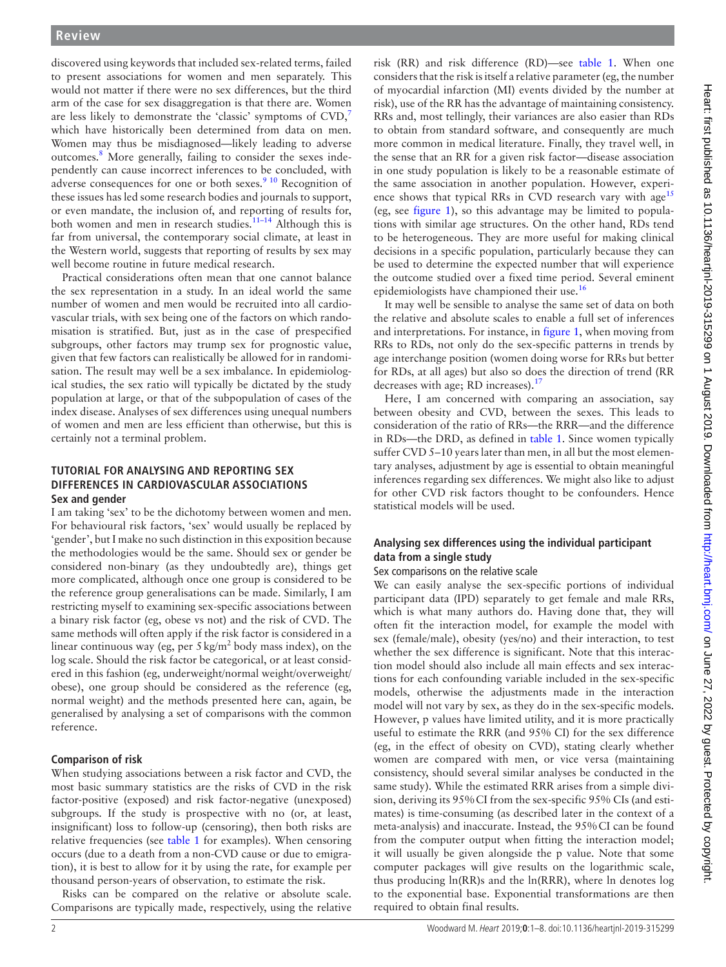discovered using keywords that included sex-related terms, failed to present associations for women and men separately. This would not matter if there were no sex differences, but the third arm of the case for sex disaggregation is that there are. Women are less likely to demonstrate the 'classic' symptoms of  $CVD$ ,<sup>7</sup> which have historically been determined from data on men. Women may thus be misdiagnosed—likely leading to adverse outcomes.<sup>[8](#page-7-6)</sup> More generally, failing to consider the sexes independently can cause incorrect inferences to be concluded, with adverse consequences for one or both sexes.<sup>9 10</sup> Recognition of these issues has led some research bodies and journals to support, or even mandate, the inclusion of, and reporting of results for, both women and men in research studies.<sup>11-14</sup> Although this is far from universal, the contemporary social climate, at least in the Western world, suggests that reporting of results by sex may well become routine in future medical research.

Practical considerations often mean that one cannot balance the sex representation in a study. In an ideal world the same number of women and men would be recruited into all cardiovascular trials, with sex being one of the factors on which randomisation is stratified. But, just as in the case of prespecified subgroups, other factors may trump sex for prognostic value, given that few factors can realistically be allowed for in randomisation. The result may well be a sex imbalance. In epidemiological studies, the sex ratio will typically be dictated by the study population at large, or that of the subpopulation of cases of the index disease. Analyses of sex differences using unequal numbers of women and men are less efficient than otherwise, but this is certainly not a terminal problem.

# **Tutorial for analysing and reporting sex differences in cardiovascular associations Sex and gender**

I am taking 'sex' to be the dichotomy between women and men. For behavioural risk factors, 'sex' would usually be replaced by 'gender', but I make no such distinction in this exposition because the methodologies would be the same. Should sex or gender be considered non-binary (as they undoubtedly are), things get more complicated, although once one group is considered to be the reference group generalisations can be made. Similarly, I am restricting myself to examining sex-specific associations between a binary risk factor (eg, obese vs not) and the risk of CVD. The same methods will often apply if the risk factor is considered in a linear continuous way (eg, per  $5 \text{ kg/m}^2$  body mass index), on the log scale. Should the risk factor be categorical, or at least considered in this fashion (eg, underweight/normal weight/overweight/ obese), one group should be considered as the reference (eg, normal weight) and the methods presented here can, again, be generalised by analysing a set of comparisons with the common reference.

# **Comparison of risk**

When studying associations between a risk factor and CVD, the most basic summary statistics are the risks of CVD in the risk factor-positive (exposed) and risk factor-negative (unexposed) subgroups. If the study is prospective with no (or, at least, insignificant) loss to follow-up (censoring), then both risks are relative frequencies (see [table](#page-2-0) 1 for examples). When censoring occurs (due to a death from a non-CVD cause or due to emigration), it is best to allow for it by using the rate, for example per thousand person-years of observation, to estimate the risk.

Risks can be compared on the relative or absolute scale. Comparisons are typically made, respectively, using the relative

risk (RR) and risk difference (RD)—see [table](#page-2-0) 1. When one considers that the risk is itself a relative parameter (eg, the number of myocardial infarction (MI) events divided by the number at risk), use of the RR has the advantage of maintaining consistency. RRs and, most tellingly, their variances are also easier than RDs to obtain from standard software, and consequently are much more common in medical literature. Finally, they travel well, in the sense that an RR for a given risk factor—disease association in one study population is likely to be a reasonable estimate of the same association in another population. However, experi-ence shows that typical RRs in CVD research vary with age<sup>[15](#page-7-9)</sup> (eg, see [figure](#page-2-1) 1), so this advantage may be limited to populations with similar age structures. On the other hand, RDs tend to be heterogeneous. They are more useful for making clinical decisions in a specific population, particularly because they can be used to determine the expected number that will experience the outcome studied over a fixed time period. Several eminent epidemiologists have championed their use.<sup>[16](#page-7-10)</sup>

It may well be sensible to analyse the same set of data on both the relative and absolute scales to enable a full set of inferences and interpretations. For instance, in [figure](#page-2-1) 1, when moving from RRs to RDs, not only do the sex-specific patterns in trends by age interchange position (women doing worse for RRs but better for RDs, at all ages) but also so does the direction of trend (RR decreases with age; RD increases).<sup>[17](#page-7-11)</sup>

Here, I am concerned with comparing an association, say between obesity and CVD, between the sexes. This leads to consideration of the ratio of RRs—the RRR—and the difference in RDs—the DRD, as defined in [table](#page-2-0) 1. Since women typically suffer CVD 5–10 years later than men, in all but the most elementary analyses, adjustment by age is essential to obtain meaningful inferences regarding sex differences. We might also like to adjust for other CVD risk factors thought to be confounders. Hence statistical models will be used.

# **Analysing sex differences using the individual participant data from a single study**

# Sex comparisons on the relative scale

We can easily analyse the sex-specific portions of individual participant data (IPD) separately to get female and male RRs, which is what many authors do. Having done that, they will often fit the interaction model, for example the model with sex (female/male), obesity (yes/no) and their interaction, to test whether the sex difference is significant. Note that this interaction model should also include all main effects and sex interactions for each confounding variable included in the sex-specific models, otherwise the adjustments made in the interaction model will not vary by sex, as they do in the sex-specific models. However, p values have limited utility, and it is more practically useful to estimate the RRR (and 95% CI) for the sex difference (eg, in the effect of obesity on CVD), stating clearly whether women are compared with men, or vice versa (maintaining consistency, should several similar analyses be conducted in the same study). While the estimated RRR arises from a simple division, deriving its 95%CI from the sex-specific 95% CIs (and estimates) is time-consuming (as described later in the context of a meta-analysis) and inaccurate. Instead, the 95%CI can be found from the computer output when fitting the interaction model; it will usually be given alongside the p value. Note that some computer packages will give results on the logarithmic scale, thus producing ln(RR)s and the ln(RRR), where ln denotes log to the exponential base. Exponential transformations are then required to obtain final results.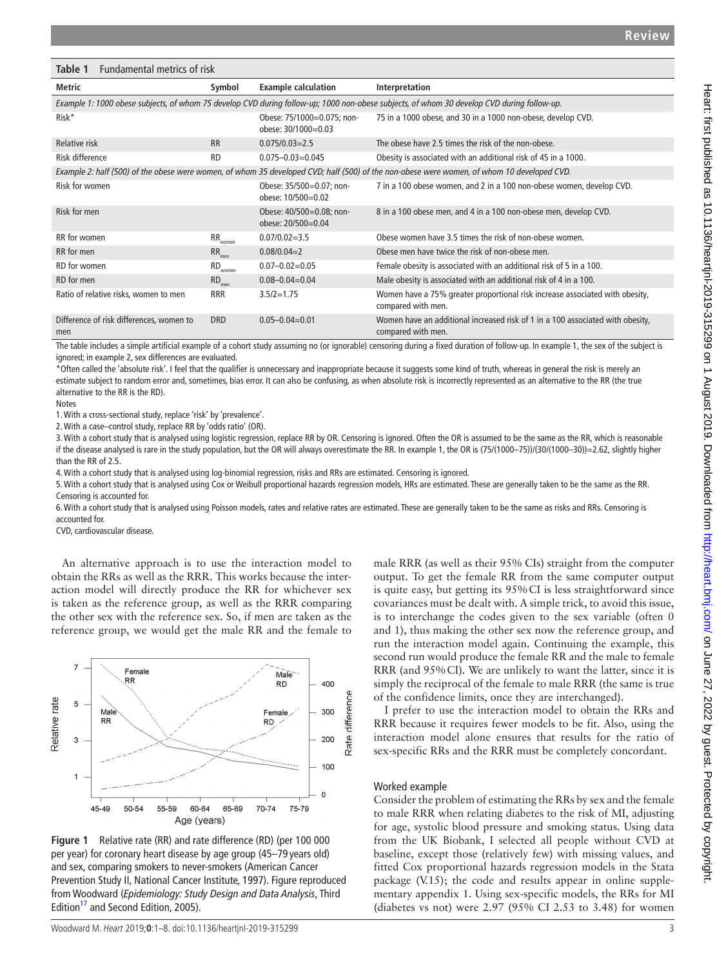<span id="page-2-0"></span>

| Table 1<br>Fundamental metrics of risk                                                                                                     |                              |                                                   |                                                                                                                                            |  |
|--------------------------------------------------------------------------------------------------------------------------------------------|------------------------------|---------------------------------------------------|--------------------------------------------------------------------------------------------------------------------------------------------|--|
| Metric                                                                                                                                     | Symbol                       | <b>Example calculation</b>                        | Interpretation                                                                                                                             |  |
| Example 1: 1000 obese subjects, of whom 75 develop CVD during follow-up; 1000 non-obese subjects, of whom 30 develop CVD during follow-up. |                              |                                                   |                                                                                                                                            |  |
| Risk*                                                                                                                                      |                              | Obese: 75/1000=0.075; non-<br>obese: 30/1000=0.03 | 75 in a 1000 obese, and 30 in a 1000 non-obese, develop CVD.                                                                               |  |
| <b>Relative risk</b>                                                                                                                       | <b>RR</b>                    | $0.075/0.03=2.5$                                  | The obese have 2.5 times the risk of the non-obese.                                                                                        |  |
| Risk difference                                                                                                                            | <b>RD</b>                    | $0.075 - 0.03 = 0.045$                            | Obesity is associated with an additional risk of 45 in a 1000.                                                                             |  |
|                                                                                                                                            |                              |                                                   | Example 2: half (500) of the obese were women, of whom 35 developed CVD; half (500) of the non-obese were women, of whom 10 developed CVD. |  |
| Risk for women                                                                                                                             |                              | Obese: 35/500=0.07; non-<br>obese: 10/500=0.02    | 7 in a 100 obese women, and 2 in a 100 non-obese women, develop CVD.                                                                       |  |
| Risk for men                                                                                                                               |                              | Obese: 40/500=0.08; non-<br>obese: 20/500=0.04    | 8 in a 100 obese men, and 4 in a 100 non-obese men, develop CVD.                                                                           |  |
| RR for women                                                                                                                               | ${\sf RR}_{\sf women}$       | $0.07/0.02 = 3.5$                                 | Obese women have 3.5 times the risk of non-obese women.                                                                                    |  |
| RR for men                                                                                                                                 | RR <sub>men</sub>            | $0.08/0.04=2$                                     | Obese men have twice the risk of non-obese men.                                                                                            |  |
| RD for women                                                                                                                               | $\mathsf{RD}_\mathsf{women}$ | $0.07 - 0.02 = 0.05$                              | Female obesity is associated with an additional risk of 5 in a 100.                                                                        |  |
| RD for men                                                                                                                                 | $RD_{\text{men}}$            | $0.08 - 0.04 = 0.04$                              | Male obesity is associated with an additional risk of 4 in a 100.                                                                          |  |
| Ratio of relative risks, women to men                                                                                                      | <b>RRR</b>                   | $3.5/2=1.75$                                      | Women have a 75% greater proportional risk increase associated with obesity,<br>compared with men.                                         |  |
| Difference of risk differences, women to<br>men                                                                                            | <b>DRD</b>                   | $0.05 - 0.04 = 0.01$                              | Women have an additional increased risk of 1 in a 100 associated with obesity,<br>compared with men.                                       |  |

The table includes a simple artificial example of a cohort study assuming no (or ignorable) censoring during a fixed duration of follow-up. In example 1, the sex of the subject is ignored; in example 2, sex differences are evaluated.

\*Often called the 'absolute risk'. I feel that the qualifier is unnecessary and inappropriate because it suggests some kind of truth, whereas in general the risk is merely an estimate subject to random error and, sometimes, bias error. It can also be confusing, as when absolute risk is incorrectly represented as an alternative to the RR (the true alternative to the RR is the RD).

Notes

1. With a cross-sectional study, replace 'risk' by 'prevalence'.

2. With a case–control study, replace RR by 'odds ratio' (OR).

3. With a cohort study that is analysed using logistic regression, replace RR by OR. Censoring is ignored. Often the OR is assumed to be the same as the RR, which is reasonable if the disease analysed is rare in the study population, but the OR will always overestimate the RR. In example 1, the OR is (75/(1000–75))/(30/(1000–30))=2.62, slightly higher than the RR of 2.5.

4. With a cohort study that is analysed using log-binomial regression, risks and RRs are estimated. Censoring is ignored.

5. With a cohort study that is analysed using Cox or Weibull proportional hazards regression models, HRs are estimated. These are generally taken to be the same as the RR. Censoring is accounted for.

6. With a cohort study that is analysed using Poisson models, rates and relative rates are estimated. These are generally taken to be the same as risks and RRs. Censoring is accounted for.

CVD, cardiovascular disease.

An alternative approach is to use the interaction model to obtain the RRs as well as the RRR. This works because the interaction model will directly produce the RR for whichever sex is taken as the reference group, as well as the RRR comparing the other sex with the reference sex. So, if men are taken as the reference group, we would get the male RR and the female to



<span id="page-2-1"></span>**Figure 1** Relative rate (RR) and rate difference (RD) (per 100 000 per year) for coronary heart disease by age group (45–79 years old) and sex, comparing smokers to never-smokers (American Cancer Prevention Study II, National Cancer Institute, 1997). Figure reproduced from Woodward (*Epidemiology: Study Design and Data Analysis*, Third Edition<sup>17</sup> and Second Edition, 2005).

male RRR (as well as their 95% CIs) straight from the computer output. To get the female RR from the same computer output is quite easy, but getting its 95%CI is less straightforward since covariances must be dealt with. A simple trick, to avoid this issue, is to interchange the codes given to the sex variable (often 0 and 1), thus making the other sex now the reference group, and run the interaction model again. Continuing the example, this second run would produce the female RR and the male to female RRR (and 95%CI). We are unlikely to want the latter, since it is simply the reciprocal of the female to male RRR (the same is true of the confidence limits, once they are interchanged).

I prefer to use the interaction model to obtain the RRs and RRR because it requires fewer models to be fit. Also, using the interaction model alone ensures that results for the ratio of sex-specific RRs and the RRR must be completely concordant.

#### Worked example

Consider the problem of estimating the RRs by sex and the female to male RRR when relating diabetes to the risk of MI, adjusting for age, systolic blood pressure and smoking status. Using data from the UK Biobank, I selected all people without CVD at baseline, except those (relatively few) with missing values, and fitted Cox proportional hazards regression models in the Stata package (V.15); the code and results appear in online [supple](https://dx.doi.org/10.1136/heartjnl-2019-315299)[mentary appendix 1.](https://dx.doi.org/10.1136/heartjnl-2019-315299) Using sex-specific models, the RRs for MI (diabetes vs not) were 2.97 (95% CI 2.53 to 3.48) for women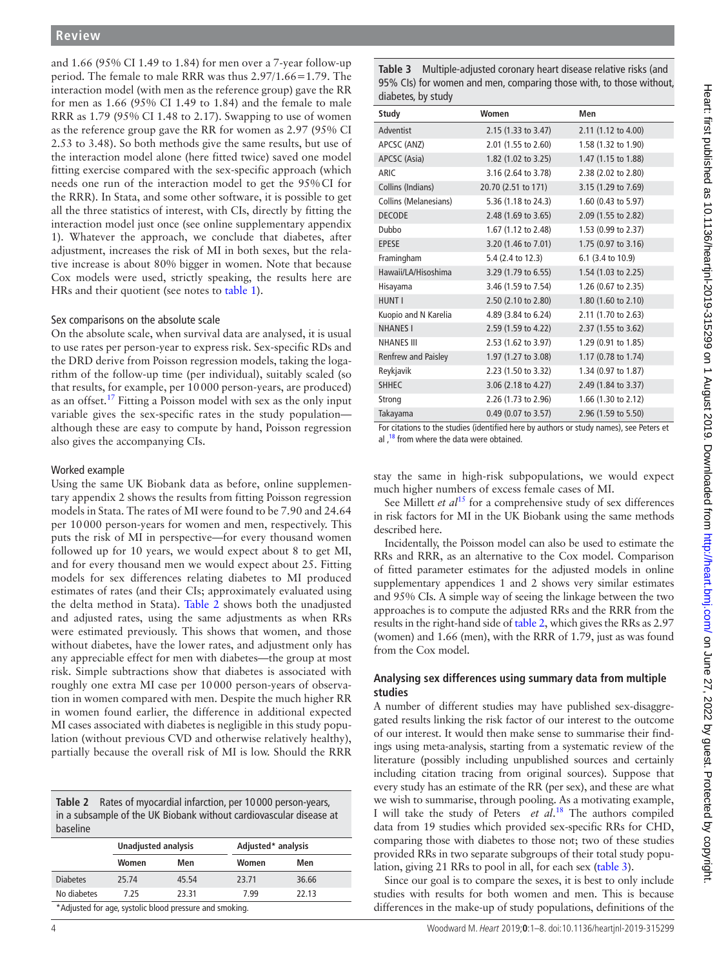and 1.66 (95% CI 1.49 to 1.84) for men over a 7-year follow-up period. The female to male RRR was thus 2.97/1.66=1.79. The interaction model (with men as the reference group) gave the RR for men as 1.66 (95% CI 1.49 to 1.84) and the female to male RRR as 1.79 (95% CI 1.48 to 2.17). Swapping to use of women as the reference group gave the RR for women as 2.97 (95% CI 2.53 to 3.48). So both methods give the same results, but use of the interaction model alone (here fitted twice) saved one model fitting exercise compared with the sex-specific approach (which needs one run of the interaction model to get the 95%CI for the RRR). In Stata, and some other software, it is possible to get all the three statistics of interest, with CIs, directly by fitting the interaction model just once (see online [supplementary appendix](https://dx.doi.org/10.1136/heartjnl-2019-315299)  [1](https://dx.doi.org/10.1136/heartjnl-2019-315299)). Whatever the approach, we conclude that diabetes, after adjustment, increases the risk of MI in both sexes, but the relative increase is about 80% bigger in women. Note that because Cox models were used, strictly speaking, the results here are HRs and their quotient (see notes to [table](#page-2-0) 1).

#### Sex comparisons on the absolute scale

On the absolute scale, when survival data are analysed, it is usual to use rates per person-year to express risk. Sex-specific RDs and the DRD derive from Poisson regression models, taking the logarithm of the follow-up time (per individual), suitably scaled (so that results, for example, per 10000 person-years, are produced) as an offset.<sup>[17](#page-7-11)</sup> Fitting a Poisson model with sex as the only input variable gives the sex-specific rates in the study population although these are easy to compute by hand, Poisson regression also gives the accompanying CIs.

#### Worked example

Using the same UK Biobank data as before, online [supplemen](https://dx.doi.org/10.1136/heartjnl-2019-315299)[tary appendix 2](https://dx.doi.org/10.1136/heartjnl-2019-315299) shows the results from fitting Poisson regression models in Stata. The rates of MI were found to be 7.90 and 24.64 per 10000 person-years for women and men, respectively. This puts the risk of MI in perspective—for every thousand women followed up for 10 years, we would expect about 8 to get MI, and for every thousand men we would expect about 25. Fitting models for sex differences relating diabetes to MI produced estimates of rates (and their CIs; approximately evaluated using the delta method in Stata). [Table](#page-3-0) 2 shows both the unadjusted and adjusted rates, using the same adjustments as when RRs were estimated previously. This shows that women, and those without diabetes, have the lower rates, and adjustment only has any appreciable effect for men with diabetes—the group at most risk. Simple subtractions show that diabetes is associated with roughly one extra MI case per 10000 person-years of observation in women compared with men. Despite the much higher RR in women found earlier, the difference in additional expected MI cases associated with diabetes is negligible in this study population (without previous CVD and otherwise relatively healthy), partially because the overall risk of MI is low. Should the RRR

<span id="page-3-0"></span>**Table 2** Rates of myocardial infarction, per 10 000 person-years, in a subsample of the UK Biobank without cardiovascular disease at baseline

|                 | <b>Unadjusted analysis</b> |                                                         |       | Adjusted* analysis |  |
|-----------------|----------------------------|---------------------------------------------------------|-------|--------------------|--|
|                 | Women                      | Men                                                     | Women | Men                |  |
| <b>Diabetes</b> | 25.74                      | 45.54                                                   | 23.71 | 36.66              |  |
| No diabetes     | 7.25                       | 23.31                                                   | 7.99  | 22.13              |  |
|                 |                            | *Adjusted for age, systolic blood pressure and smoking. |       |                    |  |

<span id="page-3-1"></span>**Table 3** Multiple-adjusted coronary heart disease relative risks (and 95% CIs) for women and men, comparing those with, to those without, diabetes, by study

| Study                 | Women               | Men                 |
|-----------------------|---------------------|---------------------|
| Adventist             | 2.15 (1.33 to 3.47) | 2.11 (1.12 to 4.00) |
| APCSC (ANZ)           | 2.01 (1.55 to 2.60) | 1.58 (1.32 to 1.90) |
| APCSC (Asia)          | 1.82 (1.02 to 3.25) | 1.47 (1.15 to 1.88) |
| <b>ARIC</b>           | 3.16 (2.64 to 3.78) | 2.38 (2.02 to 2.80) |
| Collins (Indians)     | 20.70 (2.51 to 171) | 3.15 (1.29 to 7.69) |
| Collins (Melanesians) | 5.36 (1.18 to 24.3) | 1.60 (0.43 to 5.97) |
| <b>DECODE</b>         | 2.48 (1.69 to 3.65) | 2.09 (1.55 to 2.82) |
| Dubbo                 | 1.67 (1.12 to 2.48) | 1.53 (0.99 to 2.37) |
| <b>EPESE</b>          | 3.20 (1.46 to 7.01) | 1.75 (0.97 to 3.16) |
| Framingham            | 5.4 (2.4 to 12.3)   | 6.1 (3.4 to 10.9)   |
| Hawaii/LA/Hisoshima   | 3.29 (1.79 to 6.55) | 1.54 (1.03 to 2.25) |
| Hisayama              | 3.46 (1.59 to 7.54) | 1.26 (0.67 to 2.35) |
| <b>HUNT I</b>         | 2.50 (2.10 to 2.80) | 1.80 (1.60 to 2.10) |
| Kuopio and N Karelia  | 4.89 (3.84 to 6.24) | 2.11 (1.70 to 2.63) |
| <b>NHANES I</b>       | 2.59 (1.59 to 4.22) | 2.37 (1.55 to 3.62) |
| <b>NHANES III</b>     | 2.53 (1.62 to 3.97) | 1.29 (0.91 to 1.85) |
| Renfrew and Paisley   | 1.97 (1.27 to 3.08) | 1.17 (0.78 to 1.74) |
| Reykjavik             | 2.23 (1.50 to 3.32) | 1.34 (0.97 to 1.87) |
| <b>SHHEC</b>          | 3.06 (2.18 to 4.27) | 2.49 (1.84 to 3.37) |
| Strong                | 2.26 (1.73 to 2.96) | 1.66 (1.30 to 2.12) |
| Takayama              | 0.49 (0.07 to 3.57) | 2.96 (1.59 to 5.50) |

For citations to the studies (identified here by authors or study names), see Peters et al,<sup>18</sup> from where the data were obtained.

stay the same in high-risk subpopulations, we would expect much higher numbers of excess female cases of MI.

See Millett *et al*<sup>[15](#page-7-9)</sup> for a comprehensive study of sex differences in risk factors for MI in the UK Biobank using the same methods described here.

Incidentally, the Poisson model can also be used to estimate the RRs and RRR, as an alternative to the Cox model. Comparison of fitted parameter estimates for the adjusted models in online [supplementary appendices 1](https://dx.doi.org/10.1136/heartjnl-2019-315299) and 2 shows very similar estimates and 95% CIs. A simple way of seeing the linkage between the two approaches is to compute the adjusted RRs and the RRR from the results in the right-hand side of [table](#page-3-0) 2, which gives the RRs as 2.97 (women) and 1.66 (men), with the RRR of 1.79, just as was found from the Cox model.

# **Analysing sex differences using summary data from multiple studies**

A number of different studies may have published sex-disaggregated results linking the risk factor of our interest to the outcome of our interest. It would then make sense to summarise their findings using meta-analysis, starting from a systematic review of the literature (possibly including unpublished sources and certainly including citation tracing from original sources). Suppose that every study has an estimate of the RR (per sex), and these are what we wish to summarise, through pooling. As a motivating example, I will take the study of Peters *et al*. [18](#page-7-12) The authors compiled data from 19 studies which provided sex-specific RRs for CHD, comparing those with diabetes to those not; two of these studies provided RRs in two separate subgroups of their total study population, giving 21 RRs to pool in all, for each sex [\(table](#page-3-1) 3).

Since our goal is to compare the sexes, it is best to only include studies with results for both women and men. This is because differences in the make-up of study populations, definitions of the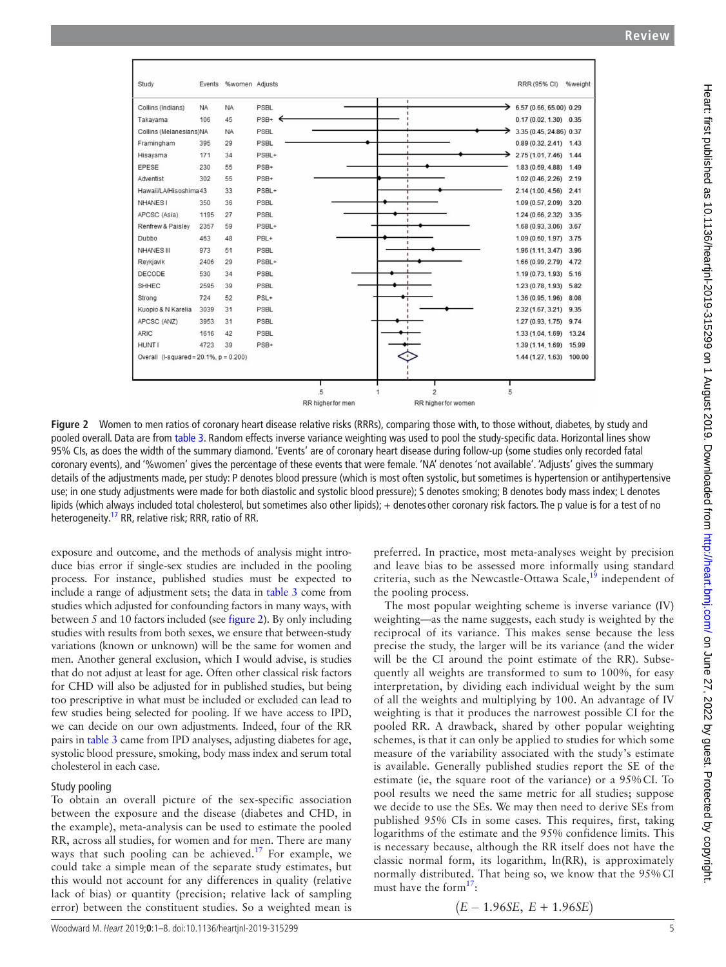

<span id="page-4-0"></span>**Figure 2** Women to men ratios of coronary heart disease relative risks (RRRs), comparing those with, to those without, diabetes, by study and pooled overall. Data are from [table 3](#page-3-1). Random effects inverse variance weighting was used to pool the study-specific data. Horizontal lines show 95% CIs, as does the width of the summary diamond. 'Events' are of coronary heart disease during follow-up (some studies only recorded fatal coronary events), and '%women' gives the percentage of these events that were female. 'NA' denotes 'not available'. 'Adjusts' gives the summary details of the adjustments made, per study: P denotes blood pressure (which is most often systolic, but sometimes is hypertension or antihypertensive use; in one study adjustments were made for both diastolic and systolic blood pressure); S denotes smoking; B denotes body mass index; L denotes lipids (which always included total cholesterol, but sometimes also other lipids); + denotes other coronary risk factors. The p value is for a test of no heterogeneity.<sup>17</sup> RR, relative risk; RRR, ratio of RR.

exposure and outcome, and the methods of analysis might introduce bias error if single-sex studies are included in the pooling process. For instance, published studies must be expected to include a range of adjustment sets; the data in [table](#page-3-1) 3 come from studies which adjusted for confounding factors in many ways, with between 5 and 10 factors included (see [figure](#page-4-0) 2). By only including studies with results from both sexes, we ensure that between-study variations (known or unknown) will be the same for women and men. Another general exclusion, which I would advise, is studies that do not adjust at least for age. Often other classical risk factors for CHD will also be adjusted for in published studies, but being too prescriptive in what must be included or excluded can lead to few studies being selected for pooling. If we have access to IPD, we can decide on our own adjustments. Indeed, four of the RR pairs in [table](#page-3-1) 3 came from IPD analyses, adjusting diabetes for age, systolic blood pressure, smoking, body mass index and serum total cholesterol in each case.

## Study pooling

To obtain an overall picture of the sex-specific association between the exposure and the disease (diabetes and CHD, in the example), meta-analysis can be used to estimate the pooled RR, across all studies, for women and for men. There are many ways that such pooling can be achieved.<sup>17</sup> For example, we could take a simple mean of the separate study estimates, but this would not account for any differences in quality (relative lack of bias) or quantity (precision; relative lack of sampling error) between the constituent studies. So a weighted mean is

preferred. In practice, most meta-analyses weight by precision and leave bias to be assessed more informally using standard criteria, such as the Newcastle-Ottawa Scale, $19$  independent of the pooling process.

The most popular weighting scheme is inverse variance (IV) weighting—as the name suggests, each study is weighted by the reciprocal of its variance. This makes sense because the less precise the study, the larger will be its variance (and the wider will be the CI around the point estimate of the RR). Subsequently all weights are transformed to sum to 100%, for easy interpretation, by dividing each individual weight by the sum of all the weights and multiplying by 100. An advantage of IV weighting is that it produces the narrowest possible CI for the pooled RR. A drawback, shared by other popular weighting schemes, is that it can only be applied to studies for which some measure of the variability associated with the study's estimate is available. Generally published studies report the SE of the estimate (ie, the square root of the variance) or a 95%CI. To pool results we need the same metric for all studies; suppose we decide to use the SEs. We may then need to derive SEs from published 95% CIs in some cases. This requires, first, taking logarithms of the estimate and the 95% confidence limits. This is necessary because, although the RR itself does not have the classic normal form, its logarithm, ln(RR), is approximately normally distributed. That being so, we know that the 95%CI must have the form $17$ :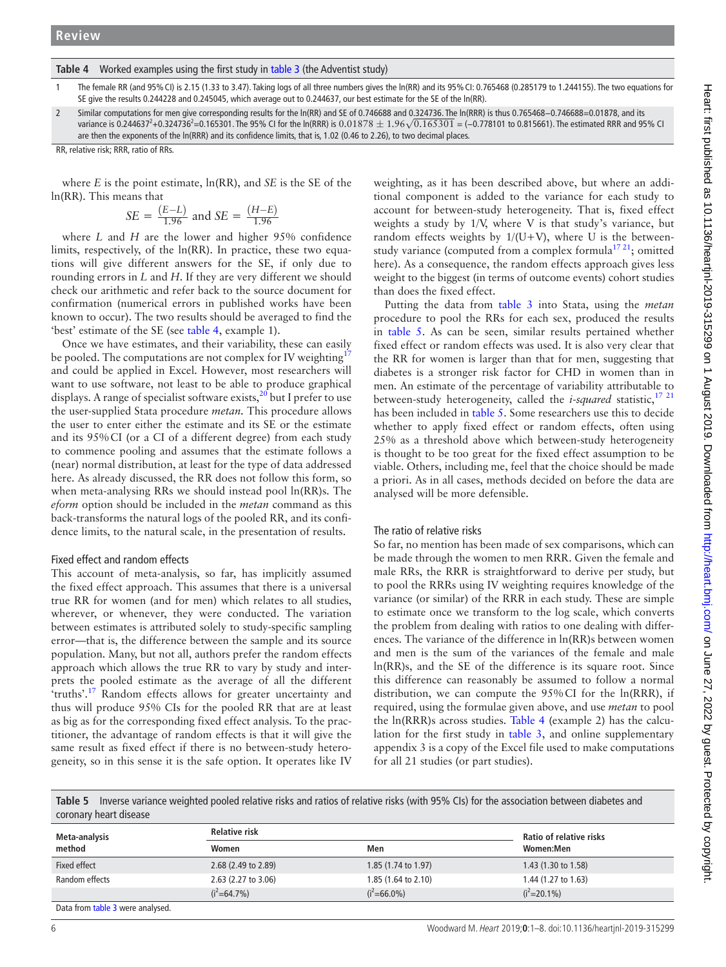#### <span id="page-5-0"></span>**Table 4** Worked examples using the first study in [table 3](#page-3-1) (the Adventist study)

- 1 The female RR (and 95%CI) is 2.15 (1.33 to 3.47). Taking logs of all three numbers gives the ln(RR) and its 95%CI: 0.765468 (0.285179 to 1.244155). The two equations for SE give the results 0.244228 and 0.245045, which average out to 0.244637, our best estimate for the SE of the ln(RR).
- 2 Similar computations for men give corresponding results for the ln(RR) and SE of 0.746688 and 0.324736. The ln(RRR) is thus 0.765468−0.746688=0.01878, and its variance is 0.2446372 +0.3247362 =0.165301. The 95% CI for the ln(RRR) is 0.01878 *<sup>±</sup>* 1.96*√*0.165301 = (−0.778101 to 0.815661). The estimated RRR and 95% CI are then the exponents of the ln(RRR) and its confidence limits, that is, 1.02 (0.46 to 2.26), to two decimal places.

RR, relative risk; RRR, ratio of RRs.

where *E* is the point estimate, ln(RR), and *SE* is the SE of the ln(RR). This means that

$$
SE = \frac{(E-L)}{1.96}
$$
 and  $SE = \frac{(H-E)}{1.96}$ 

where *L* and *H* are the lower and higher 95% confidence limits, respectively, of the ln(RR). In practice, these two equations will give different answers for the SE, if only due to rounding errors in *L* and *H*. If they are very different we should check our arithmetic and refer back to the source document for confirmation (numerical errors in published works have been known to occur). The two results should be averaged to find the 'best' estimate of the SE (see [table](#page-5-0) 4, example 1).

Once we have estimates, and their variability, these can easily be pooled. The computations are not complex for IV weighting<sup>[17](#page-7-11)</sup> and could be applied in Excel. However, most researchers will want to use software, not least to be able to produce graphical displays. A range of specialist software exists, $20$  but I prefer to use the user-supplied Stata procedure *metan.* This procedure allows the user to enter either the estimate and its SE or the estimate and its 95%CI (or a CI of a different degree) from each study to commence pooling and assumes that the estimate follows a (near) normal distribution, at least for the type of data addressed here. As already discussed, the RR does not follow this form, so when meta-analysing RRs we should instead pool ln(RR)s. The *eform* option should be included in the *metan* command as this back-transforms the natural logs of the pooled RR, and its confidence limits, to the natural scale, in the presentation of results.

#### Fixed effect and random effects

This account of meta-analysis, so far, has implicitly assumed the fixed effect approach. This assumes that there is a universal true RR for women (and for men) which relates to all studies, wherever, or whenever, they were conducted. The variation between estimates is attributed solely to study-specific sampling error—that is, the difference between the sample and its source population. Many, but not all, authors prefer the random effects approach which allows the true RR to vary by study and interprets the pooled estimate as the average of all the different 'truths'.<sup>17</sup> Random effects allows for greater uncertainty and thus will produce 95% CIs for the pooled RR that are at least as big as for the corresponding fixed effect analysis. To the practitioner, the advantage of random effects is that it will give the same result as fixed effect if there is no between-study heterogeneity, so in this sense it is the safe option. It operates like IV

weighting, as it has been described above, but where an additional component is added to the variance for each study to account for between-study heterogeneity. That is, fixed effect weights a study by 1/V, where V is that study's variance, but random effects weights by  $1/(U+V)$ , where U is the betweenstudy variance (computed from a complex formula<sup>1721</sup>; omitted here). As a consequence, the random effects approach gives less weight to the biggest (in terms of outcome events) cohort studies than does the fixed effect.

Putting the data from [table](#page-3-1) 3 into Stata, using the *metan* procedure to pool the RRs for each sex, produced the results in [table](#page-5-1) 5. As can be seen, similar results pertained whether fixed effect or random effects was used. It is also very clear that the RR for women is larger than that for men, suggesting that diabetes is a stronger risk factor for CHD in women than in men. An estimate of the percentage of variability attributable to between-study heterogeneity, called the *i-squared* statistic,<sup>17 21</sup> has been included in [table](#page-5-1) 5. Some researchers use this to decide whether to apply fixed effect or random effects, often using 25% as a threshold above which between-study heterogeneity is thought to be too great for the fixed effect assumption to be viable. Others, including me, feel that the choice should be made a priori. As in all cases, methods decided on before the data are analysed will be more defensible.

#### The ratio of relative risks

So far, no mention has been made of sex comparisons, which can be made through the women to men RRR. Given the female and male RRs, the RRR is straightforward to derive per study, but to pool the RRRs using IV weighting requires knowledge of the variance (or similar) of the RRR in each study. These are simple to estimate once we transform to the log scale, which converts the problem from dealing with ratios to one dealing with differences. The variance of the difference in ln(RR)s between women and men is the sum of the variances of the female and male ln(RR)s, and the SE of the difference is its square root. Since this difference can reasonably be assumed to follow a normal distribution, we can compute the 95%CI for the ln(RRR), if required, using the formulae given above, and use *metan* to pool the ln(RRR)s across studies. [Table](#page-5-0) 4 (example 2) has the calculation for the first study in [table](#page-3-1) 3, and online [supplementary](https://dx.doi.org/10.1136/heartjnl-2019-315299) [appendix 3](https://dx.doi.org/10.1136/heartjnl-2019-315299) is a copy of the Excel file used to make computations for all 21 studies (or part studies).

<span id="page-5-1"></span>**Table 5** Inverse variance weighted pooled relative risks and ratios of relative risks (with 95% CIs) for the association between diabetes and coronary heart disease

| Meta-analysis<br>method          | <b>Relative risk</b>  | Ratio of relative risks        |                     |
|----------------------------------|-----------------------|--------------------------------|---------------------|
|                                  | Women                 | Men                            | Women:Men           |
| Fixed effect                     | 2.68 (2.49 to 2.89)   | 1.85 $(1.74 \text{ to } 1.97)$ | 1.43 (1.30 to 1.58) |
| Random effects                   | $2.63$ (2.27 to 3.06) | $1.85(1.64 \text{ to } 2.10)$  | 1.44 (1.27 to 1.63) |
|                                  | $(i^2=64.7\%)$        | $(i^2=66.0\%)$                 | $(i^2=20.1\%)$      |
| Data from table 3 were analysed. |                       |                                |                     |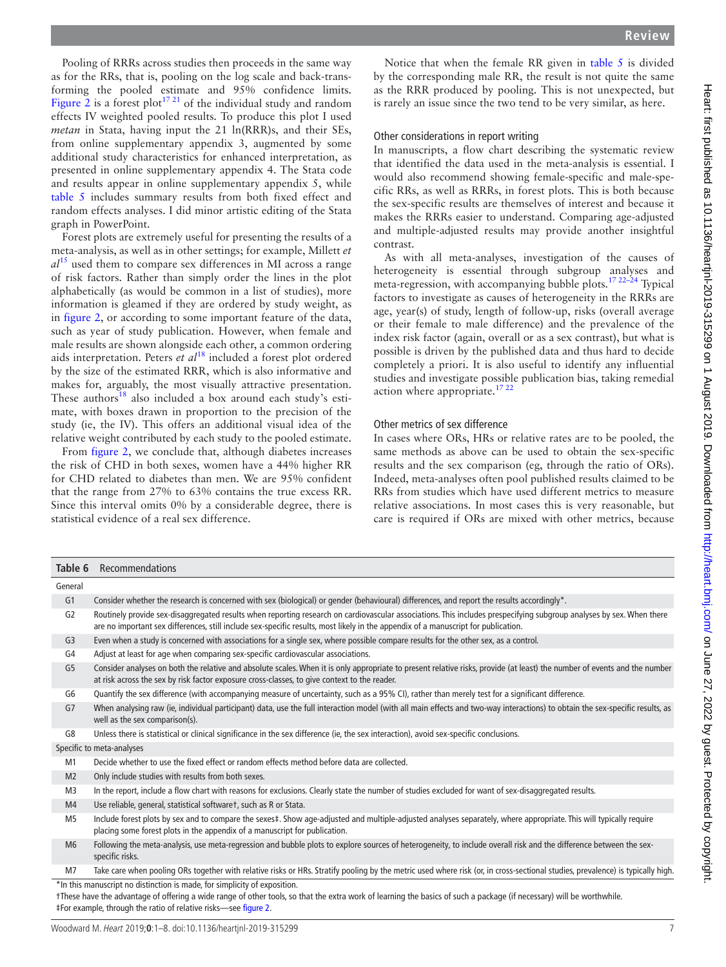Pooling of RRRs across studies then proceeds in the same way as for the RRs, that is, pooling on the log scale and back-transforming the pooled estimate and 95% confidence limits. [Figure](#page-4-0) 2 is a forest plot<sup>[17 21](#page-7-11)</sup> of the individual study and random effects IV weighted pooled results. To produce this plot I used *metan* in Stata, having input the 21 ln(RRR)s, and their SEs, from online [supplementary appendix 3,](https://dx.doi.org/10.1136/heartjnl-2019-315299) augmented by some additional study characteristics for enhanced interpretation, as presented in online [supplementary appendix 4](https://dx.doi.org/10.1136/heartjnl-2019-315299). The Stata code and results appear in online [supplementary appendix 5,](https://dx.doi.org/10.1136/heartjnl-2019-315299) while [table](#page-5-1) 5 includes summary results from both fixed effect and random effects analyses. I did minor artistic editing of the Stata graph in PowerPoint.

Forest plots are extremely useful for presenting the results of a meta-analysis, as well as in other settings; for example, Millett *et al*[15](#page-7-9) used them to compare sex differences in MI across a range of risk factors. Rather than simply order the lines in the plot alphabetically (as would be common in a list of studies), more information is gleamed if they are ordered by study weight, as in [figure](#page-4-0) 2, or according to some important feature of the data, such as year of study publication. However, when female and male results are shown alongside each other, a common ordering aids interpretation. Peters *et al*[18](#page-7-12) included a forest plot ordered by the size of the estimated RRR, which is also informative and makes for, arguably, the most visually attractive presentation. These authors $18$  also included a box around each study's estimate, with boxes drawn in proportion to the precision of the study (ie, the IV). This offers an additional visual idea of the relative weight contributed by each study to the pooled estimate.

From [figure](#page-4-0) 2, we conclude that, although diabetes increases the risk of CHD in both sexes, women have a 44% higher RR for CHD related to diabetes than men. We are 95% confident that the range from 27% to 63% contains the true excess RR. Since this interval omits 0% by a considerable degree, there is statistical evidence of a real sex difference.

Notice that when the female RR given in [table](#page-5-1) 5 is divided by the corresponding male RR, the result is not quite the same as the RRR produced by pooling. This is not unexpected, but is rarely an issue since the two tend to be very similar, as here.

### Other considerations in report writing

In manuscripts, a flow chart describing the systematic review that identified the data used in the meta-analysis is essential. I would also recommend showing female-specific and male-specific RRs, as well as RRRs, in forest plots. This is both because the sex-specific results are themselves of interest and because it makes the RRRs easier to understand. Comparing age-adjusted and multiple-adjusted results may provide another insightful contrast.

As with all meta-analyses, investigation of the causes of heterogeneity is essential through subgroup analyses and meta-regression, with accompanying bubble plots.[17 22–24](#page-7-11) Typical factors to investigate as causes of heterogeneity in the RRRs are age, year(s) of study, length of follow-up, risks (overall average or their female to male difference) and the prevalence of the index risk factor (again, overall or as a sex contrast), but what is possible is driven by the published data and thus hard to decide completely a priori. It is also useful to identify any influential studies and investigate possible publication bias, taking remedial action where appropriate.[17 22](#page-7-11)

# Other metrics of sex difference

In cases where ORs, HRs or relative rates are to be pooled, the same methods as above can be used to obtain the sex-specific results and the sex comparison (eg, through the ratio of ORs). Indeed, meta-analyses often pool published results claimed to be RRs from studies which have used different metrics to measure relative associations. In most cases this is very reasonable, but care is required if ORs are mixed with other metrics, because

<span id="page-6-0"></span>

| Table 6        | Recommendations                                                                                                                                                                                                                                                                                                       |
|----------------|-----------------------------------------------------------------------------------------------------------------------------------------------------------------------------------------------------------------------------------------------------------------------------------------------------------------------|
| General        |                                                                                                                                                                                                                                                                                                                       |
| G <sub>1</sub> | Consider whether the research is concerned with sex (biological) or gender (behavioural) differences, and report the results accordingly*.                                                                                                                                                                            |
| G <sub>2</sub> | Routinely provide sex-disaggregated results when reporting research on cardiovascular associations. This includes prespecifying subgroup analyses by sex. When there<br>are no important sex differences, still include sex-specific results, most likely in the appendix of a manuscript for publication.            |
| G <sub>3</sub> | Even when a study is concerned with associations for a single sex, where possible compare results for the other sex, as a control.                                                                                                                                                                                    |
| G4             | Adjust at least for age when comparing sex-specific cardiovascular associations.                                                                                                                                                                                                                                      |
| G <sub>5</sub> | Consider analyses on both the relative and absolute scales. When it is only appropriate to present relative risks, provide (at least) the number of events and the number<br>at risk across the sex by risk factor exposure cross-classes, to give context to the reader.                                             |
| G6             | Quantify the sex difference (with accompanying measure of uncertainty, such as a 95% CI), rather than merely test for a significant difference.                                                                                                                                                                       |
| G7             | When analysing raw (ie, individual participant) data, use the full interaction model (with all main effects and two-way interactions) to obtain the sex-specific results, as<br>well as the sex comparison(s).                                                                                                        |
| G8             | Unless there is statistical or clinical significance in the sex difference (ie, the sex interaction), avoid sex-specific conclusions.                                                                                                                                                                                 |
|                | Specific to meta-analyses                                                                                                                                                                                                                                                                                             |
| M1             | Decide whether to use the fixed effect or random effects method before data are collected.                                                                                                                                                                                                                            |
| M <sub>2</sub> | Only include studies with results from both sexes.                                                                                                                                                                                                                                                                    |
| M <sub>3</sub> | In the report, include a flow chart with reasons for exclusions. Clearly state the number of studies excluded for want of sex-disaggregated results.                                                                                                                                                                  |
| M <sub>4</sub> | Use reliable, general, statistical softwaret, such as R or Stata.                                                                                                                                                                                                                                                     |
| M <sub>5</sub> | Include forest plots by sex and to compare the sexes‡. Show age-adjusted and multiple-adjusted analyses separately, where appropriate. This will typically require<br>placing some forest plots in the appendix of a manuscript for publication.                                                                      |
| M <sub>6</sub> | Following the meta-analysis, use meta-regression and bubble plots to explore sources of heterogeneity, to include overall risk and the difference between the sex-<br>specific risks.                                                                                                                                 |
| M7             | Take care when pooling ORs together with relative risks or HRs. Stratify pooling by the metric used where risk (or, in cross-sectional studies, prevalence) is typically high.                                                                                                                                        |
|                | *In this manuscript no distinction is made, for simplicity of exposition.<br>tThese have the advantage of offering a wide range of other tools, so that the extra work of learning the basics of such a package (if necessary) will be worthwhile.<br>#For example, through the ratio of relative risks-see figure 2. |